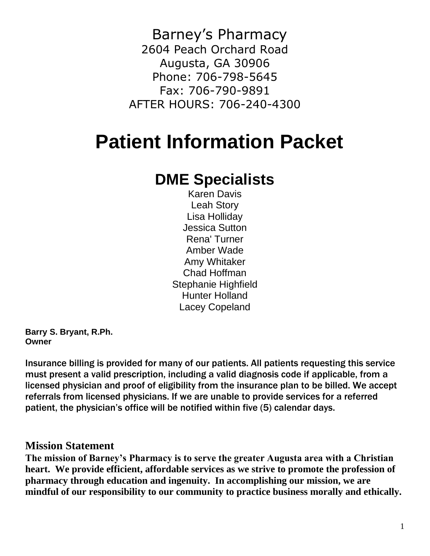Barney's Pharmacy 2604 Peach Orchard Road Augusta, GA 30906 Phone: 706-798-5645 Fax: 706-790-9891 AFTER HOURS: 706-240-4300

## **Patient Information Packet**

## **DME Specialists**

Karen Davis Leah Story Lisa Holliday Jessica Sutton Rena' Turner Amber Wade Amy Whitaker Chad Hoffman Stephanie Highfield Hunter Holland Lacey Copeland

**Barry S. Bryant, R.Ph. Owner**

Insurance billing is provided for many of our patients. All patients requesting this service must present a valid prescription, including a valid diagnosis code if applicable, from a licensed physician and proof of eligibility from the insurance plan to be billed. We accept referrals from licensed physicians. If we are unable to provide services for a referred patient, the physician's office will be notified within five (5) calendar days.

#### **Mission Statement**

**The mission of Barney's Pharmacy is to serve the greater Augusta area with a Christian heart. We provide efficient, affordable services as we strive to promote the profession of pharmacy through education and ingenuity. In accomplishing our mission, we are mindful of our responsibility to our community to practice business morally and ethically.**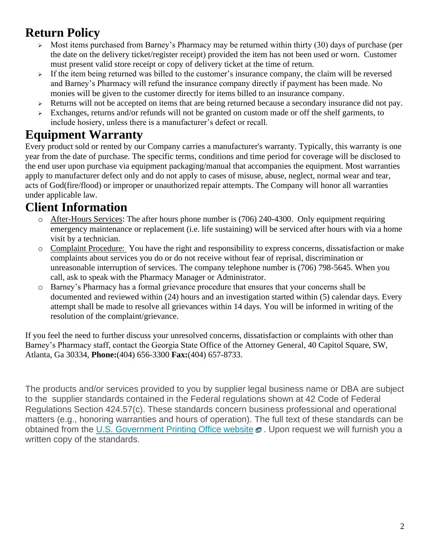## **Return Policy**

- Most items purchased from Barney's Pharmacy may be returned within thirty (30) days of purchase (per the date on the delivery ticket/register receipt) provided the item has not been used or worn. Customer must present valid store receipt or copy of delivery ticket at the time of return.
- $\geq$  If the item being returned was billed to the customer's insurance company, the claim will be reversed and Barney's Pharmacy will refund the insurance company directly if payment has been made. No monies will be given to the customer directly for items billed to an insurance company.
- ➢ Returns will not be accepted on items that are being returned because a secondary insurance did not pay.
- ➢ Exchanges, returns and/or refunds will not be granted on custom made or off the shelf garments, to include hosiery, unless there is a manufacturer's defect or recall.

## **Equipment Warranty**

Every product sold or rented by our Company carries a manufacturer's warranty. Typically, this warranty is one year from the date of purchase. The specific terms, conditions and time period for coverage will be disclosed to the end user upon purchase via equipment packaging/manual that accompanies the equipment. Most warranties apply to manufacturer defect only and do not apply to cases of misuse, abuse, neglect, normal wear and tear, acts of God(fire/flood) or improper or unauthorized repair attempts. The Company will honor all warranties under applicable law.

## **Client Information**

- o After-Hours Services: The after hours phone number is (706) 240-4300. Only equipment requiring emergency maintenance or replacement (i.e. life sustaining) will be serviced after hours with via a home visit by a technician.
- o Complaint Procedure: You have the right and responsibility to express concerns, dissatisfaction or make complaints about services you do or do not receive without fear of reprisal, discrimination or unreasonable interruption of services. The company telephone number is (706) 798-5645. When you call, ask to speak with the Pharmacy Manager or Administrator.
- o Barney's Pharmacy has a formal grievance procedure that ensures that your concerns shall be documented and reviewed within (24) hours and an investigation started within (5) calendar days. Every attempt shall be made to resolve all grievances within 14 days. You will be informed in writing of the resolution of the complaint/grievance.

If you feel the need to further discuss your unresolved concerns, dissatisfaction or complaints with other than Barney's Pharmacy staff, contact the Georgia State Office of the Attorney General, 40 Capitol Square, SW, Atlanta, Ga 30334, **Phone:**(404) 656-3300 **Fax:**(404) 657-8733.

The products and/or services provided to you by supplier legal business name or DBA are subject to the supplier standards contained in the Federal regulations shown at 42 Code of Federal Regulations Section 424.57(c). These standards concern business professional and operational matters (e.g., honoring warranties and hours of operation). The full text of these standards can be obtained from the [U.S. Government Printing Office website](http://www.ecfr.gov/cgi-bin/text-idx?c=ecfr&SID=8faa91945881bf476ca44232fb4eb75e&rgn=div8&view=text&node=42:3.0.1.1.11.4.5.8&idno=42)  $\mathbf \Xi$ . Upon request we will furnish you a written copy of the standards.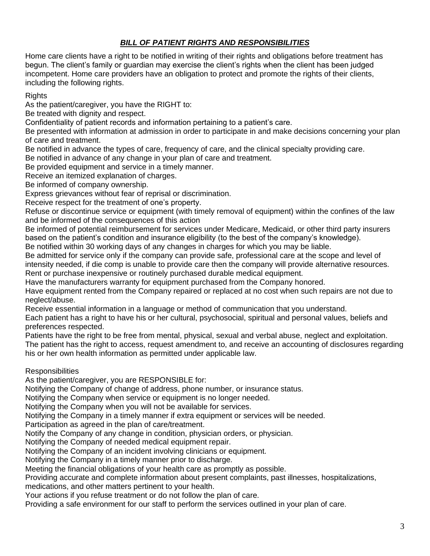#### *BILL OF PATIENT RIGHTS AND RESPONSIBILITIES*

Home care clients have a right to be notified in writing of their rights and obligations before treatment has begun. The client's family or guardian may exercise the client's rights when the client has been judged incompetent. Home care providers have an obligation to protect and promote the rights of their clients, including the following rights.

Rights

As the patient/caregiver, you have the RIGHT to:

Be treated with dignity and respect.

Confidentiality of patient records and information pertaining to a patient's care.

Be presented with information at admission in order to participate in and make decisions concerning your plan of care and treatment.

Be notified in advance the types of care, frequency of care, and the clinical specialty providing care.

Be notified in advance of any change in your plan of care and treatment.

Be provided equipment and service in a timely manner.

Receive an itemized explanation of charges.

Be informed of company ownership.

Express grievances without fear of reprisal or discrimination.

Receive respect for the treatment of one's property.

Refuse or discontinue service or equipment (with timely removal of equipment) within the confines of the law and be informed of the consequences of this action

Be informed of potential reimbursement for services under Medicare, Medicaid, or other third party insurers based on the patient's condition and insurance eligibility (to the best of the company's knowledge).

Be notified within 30 working days of any changes in charges for which you may be liable.

Be admitted for service only if the company can provide safe, professional care at the scope and level of intensity needed, if die comp is unable to provide care then the company will provide alternative resources. Rent or purchase inexpensive or routinely purchased durable medical equipment.

Have the manufacturers warranty for equipment purchased from the Company honored.

Have equipment rented from the Company repaired or replaced at no cost when such repairs are not due to neglect/abuse.

Receive essential information in a language or method of communication that you understand.

Each patient has a right to have his or her cultural, psychosocial, spiritual and personal values, beliefs and preferences respected.

Patients have the right to be free from mental, physical, sexual and verbal abuse, neglect and exploitation. The patient has the right to access, request amendment to, and receive an accounting of disclosures regarding his or her own health information as permitted under applicable law.

Responsibilities

As the patient/caregiver, you are RESPONSIBLE for:

Notifying the Company of change of address, phone number, or insurance status.

Notifying the Company when service or equipment is no longer needed.

Notifying the Company when you will not be available for services.

Notifying the Company in a timely manner if extra equipment or services will be needed.

Participation as agreed in the plan of care/treatment.

Notify the Company of any change in condition, physician orders, or physician.

Notifying the Company of needed medical equipment repair.

Notifying the Company of an incident involving clinicians or equipment.

Notifying the Company in a timely manner prior to discharge.

Meeting the financial obligations of your health care as promptly as possible.

Providing accurate and complete information about present complaints, past illnesses, hospitalizations, medications, and other matters pertinent to your health.

Your actions if you refuse treatment or do not follow the plan of care.

Providing a safe environment for our staff to perform the services outlined in your plan of care.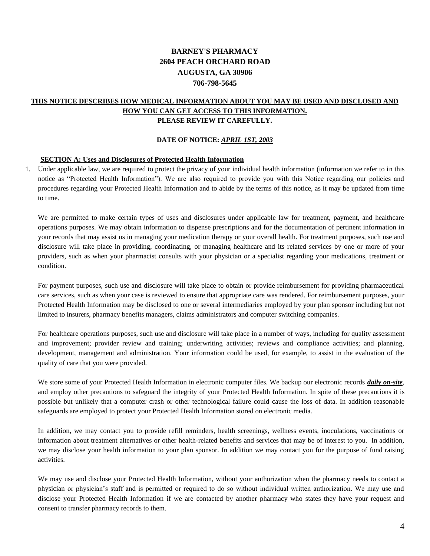#### **BARNEY'S PHARMACY 2604 PEACH ORCHARD ROAD AUGUSTA, GA 30906 706-798-5645**

#### **THIS NOTICE DESCRIBES HOW MEDICAL INFORMATION ABOUT YOU MAY BE USED AND DISCLOSED AND HOW YOU CAN GET ACCESS TO THIS INFORMATION. PLEASE REVIEW IT CAREFULLY.**

#### **DATE OF NOTICE:** *APRIL 1ST, 2003*

#### **SECTION A: Uses and Disclosures of Protected Health Information**

1. Under applicable law, we are required to protect the privacy of your individual health information (information we refer to in this notice as "Protected Health Information"). We are also required to provide you with this Notice regarding our policies and procedures regarding your Protected Health Information and to abide by the terms of this notice, as it may be updated from time to time.

We are permitted to make certain types of uses and disclosures under applicable law for treatment, payment, and healthcare operations purposes. We may obtain information to dispense prescriptions and for the documentation of pertinent information in your records that may assist us in managing your medication therapy or your overall health. For treatment purposes, such use and disclosure will take place in providing, coordinating, or managing healthcare and its related services by one or more of your providers, such as when your pharmacist consults with your physician or a specialist regarding your medications, treatment or condition.

For payment purposes, such use and disclosure will take place to obtain or provide reimbursement for providing pharmaceutical care services, such as when your case is reviewed to ensure that appropriate care was rendered. For reimbursement purposes, your Protected Health Information may be disclosed to one or several intermediaries employed by your plan sponsor including but not limited to insurers, pharmacy benefits managers, claims administrators and computer switching companies.

For healthcare operations purposes, such use and disclosure will take place in a number of ways, including for quality assessment and improvement; provider review and training; underwriting activities; reviews and compliance activities; and planning, development, management and administration. Your information could be used, for example, to assist in the evaluation of the quality of care that you were provided.

We store some of your Protected Health Information in electronic computer files. We backup our electronic records *daily on-site*, and employ other precautions to safeguard the integrity of your Protected Health Information. In spite of these precautions it is possible but unlikely that a computer crash or other technological failure could cause the loss of data. In addition reasonable safeguards are employed to protect your Protected Health Information stored on electronic media.

In addition, we may contact you to provide refill reminders, health screenings, wellness events, inoculations, vaccinations or information about treatment alternatives or other health-related benefits and services that may be of interest to you. In addition, we may disclose your health information to your plan sponsor. In addition we may contact you for the purpose of fund raising activities.

We may use and disclose your Protected Health Information, without your authorization when the pharmacy needs to contact a physician or physician's staff and is permitted or required to do so without individual written authorization. We may use and disclose your Protected Health Information if we are contacted by another pharmacy who states they have your request and consent to transfer pharmacy records to them.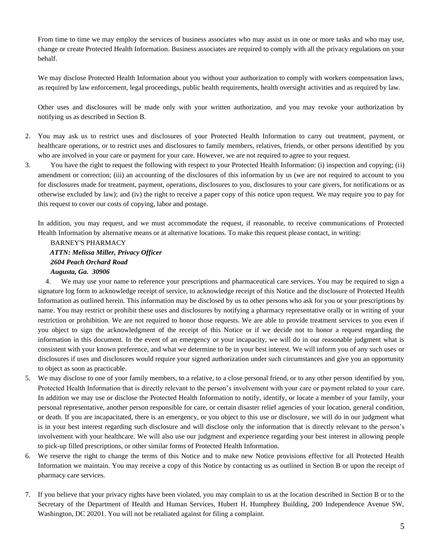From time to time we may employ the services of business associates who may assist us in one or more tasks and who may use, change or create Protected Health Information. Business associates are required to comply with all the privacy regulations on your behalf.

We may disclose Protected Health Information about you without your authorization to comply with workers compensation laws, as required by law enforcement, legal proceedings, public health requirements, health oversight activities and as required by law.

Other uses and disclosures will be made only with your written authorization, and you may revoke your authorization by notifying us as described in Section B.

- 2. You may ask us to restrict uses and disclosures of your Protected Health Information to carry out treatment, payment, or healthcare operations, or to restrict uses and disclosures to family members, relatives, friends, or other persons identified by you who are involved in your care or payment for your care. However, we are not required to agree to your request.
- 3. You have the right to request the following with respect to your Protected Health Information: (i) inspection and copying; (ii) amendment or correction; (iii) an accounting of the disclosures of this information by us (we are not required to account to you for disclosures made for treatment, payment, operations, disclosures to you, disclosures to your care givers, for notifications or as otherwise excluded by law); and (iv) the right to receive a paper copy of this notice upon request. We may require you to pay for this request to cover our costs of copying, labor and postage.

In addition, you may request, and we must accommodate the request, if reasonable, to receive communications of Protected Health Information by alternative means or at alternative locations. To make this request please contact, in writing:

BARNEY'S PHARMACY  *ATTN: Melissa Miller, Privacy Officer 2604 Peach Orchard Road Augusta, Ga. 30906* 

4. We may use your name to reference your prescriptions and pharmaceutical care services. You may be required to sign a signature log form to acknowledge receipt of service, to acknowledge receipt of this Notice and the disclosure of Protected Health Information as outlined herein. This information may be disclosed by us to other persons who ask for you or your prescriptions by name. You may restrict or prohibit these uses and disclosures by notifying a pharmacy representative orally or in writing of your restriction or prohibition. We are not required to honor those requests. We are able to provide treatment services to you even if you object to sign the acknowledgment of the receipt of this Notice or if we decide not to honor a request regarding the information in this document. In the event of an emergency or your incapacity, we will do in our reasonable judgment what is consistent with your known preference, and what we determine to be in your best interest. We will inform you of any such uses or disclosures if uses and disclosures would require your signed authorization under such circumstances and give you an opportunity to object as soon as practicable.

- 5. We may disclose to one of your family members, to a relative, to a close personal friend, or to any other person identified by you, Protected Health Information that is directly relevant to the person's involvement with your care or payment related to your care. In addition we may use or disclose the Protected Health Information to notify, identify, or locate a member of your family, your personal representative, another person responsible for care, or certain disaster relief agencies of your location, general condition, or death. If you are incapacitated, there is an emergency, or you object to this use or disclosure, we will do in our judgment what is in your best interest regarding such disclosure and will disclose only the information that is directly relevant to the person's involvement with your healthcare. We will also use our judgment and experience regarding your best interest in allowing people to pick-up filled prescriptions, or other similar forms of Protected Health Information.
- 6. We reserve the right to change the terms of this Notice and to make new Notice provisions effective for all Protected Health Information we maintain. You may receive a copy of this Notice by contacting us as outlined in Section B or upon the receipt of pharmacy care services.
- 7. If you believe that your privacy rights have been violated, you may complain to us at the location described in Section B or to the Secretary of the Department of Health and Human Services, Hubert H. Humphrey Building, 200 Independence Avenue SW, Washington, DC 20201. You will not be retaliated against for filing a complaint.